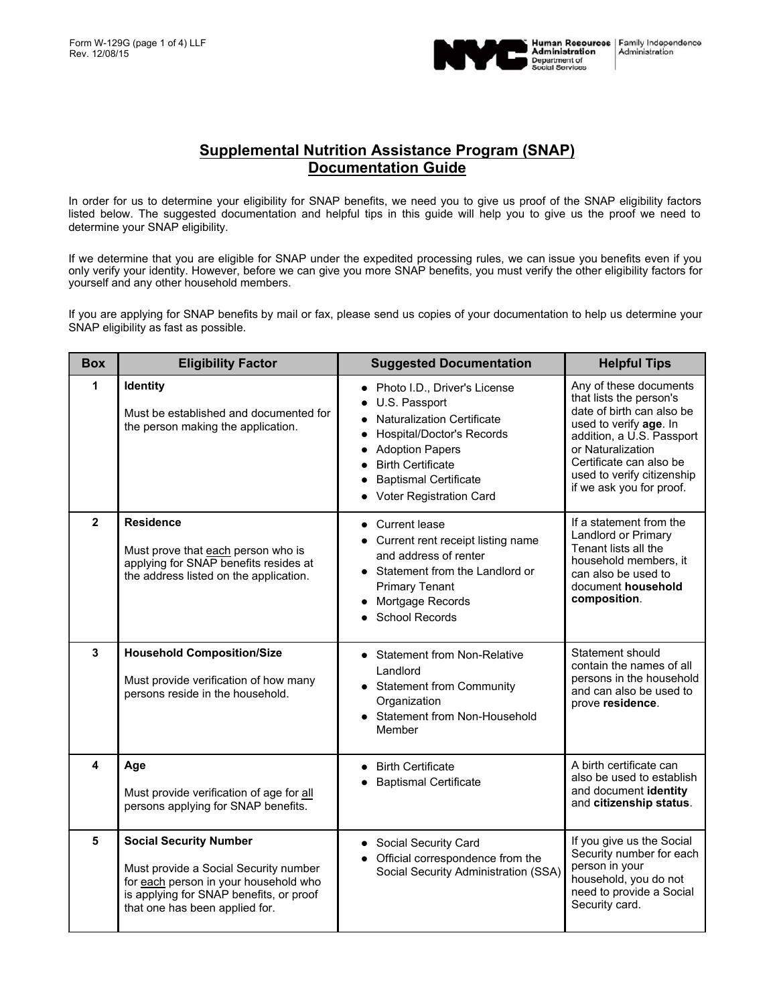

In order for us to determine your eligibility for SNAP benefits, we need you to give us proof of the SNAP eligibility factors listed below. The suggested documentation and helpful tips in this guide will help you to give us the proof we need to determine your SNAP eligibility.

If we determine that you are eligible for SNAP under the expedited processing rules, we can issue you benefits even if you only verify your identity. However, before we can give you more SNAP benefits, you must verify the other eligibility factors for yourself and any other household members.

If you are applying for SNAP benefits by mail or fax, please send us copies of your documentation to help us determine your SNAP eligibility as fast as possible.

| <b>Box</b>     | <b>Eligibility Factor</b>                                                                                                                                                                    | <b>Suggested Documentation</b>                                                                                                                                                                                                                      | <b>Helpful Tips</b>                                                                                                                                                                                                                             |
|----------------|----------------------------------------------------------------------------------------------------------------------------------------------------------------------------------------------|-----------------------------------------------------------------------------------------------------------------------------------------------------------------------------------------------------------------------------------------------------|-------------------------------------------------------------------------------------------------------------------------------------------------------------------------------------------------------------------------------------------------|
| 1              | Identity<br>Must be established and documented for<br>the person making the application.                                                                                                     | • Photo I.D., Driver's License<br>U.S. Passport<br>• Naturalization Certificate<br><b>Hospital/Doctor's Records</b><br><b>Adoption Papers</b><br><b>Birth Certificate</b><br>$\bullet$<br><b>Baptismal Certificate</b><br>• Voter Registration Card | Any of these documents<br>that lists the person's<br>date of birth can also be<br>used to verify age. In<br>addition, a U.S. Passport<br>or Naturalization<br>Certificate can also be<br>used to verify citizenship<br>if we ask you for proof. |
| $\overline{2}$ | <b>Residence</b><br>Must prove that each person who is<br>applying for SNAP benefits resides at<br>the address listed on the application.                                                    | • Current lease<br>Current rent receipt listing name<br>and address of renter<br>Statement from the Landlord or<br><b>Primary Tenant</b><br>Mortgage Records<br><b>School Records</b>                                                               | If a statement from the<br>Landlord or Primary<br>Tenant lists all the<br>household members, it<br>can also be used to<br>document household<br>composition.                                                                                    |
| $\overline{3}$ | <b>Household Composition/Size</b><br>Must provide verification of how many<br>persons reside in the household.                                                                               | <b>Statement from Non-Relative</b><br>Landlord<br>• Statement from Community<br>Organization<br>• Statement from Non-Household<br>Member                                                                                                            | Statement should<br>contain the names of all<br>persons in the household<br>and can also be used to<br>prove residence.                                                                                                                         |
| 4              | Age<br>Must provide verification of age for all<br>persons applying for SNAP benefits.                                                                                                       | <b>Birth Certificate</b><br><b>Baptismal Certificate</b>                                                                                                                                                                                            | A birth certificate can<br>also be used to establish<br>and document identity<br>and citizenship status.                                                                                                                                        |
| 5              | <b>Social Security Number</b><br>Must provide a Social Security number<br>for each person in your household who<br>is applying for SNAP benefits, or proof<br>that one has been applied for. | <b>Social Security Card</b><br>Official correspondence from the<br>Social Security Administration (SSA)                                                                                                                                             | If you give us the Social<br>Security number for each<br>person in your<br>household, you do not<br>need to provide a Social<br>Security card.                                                                                                  |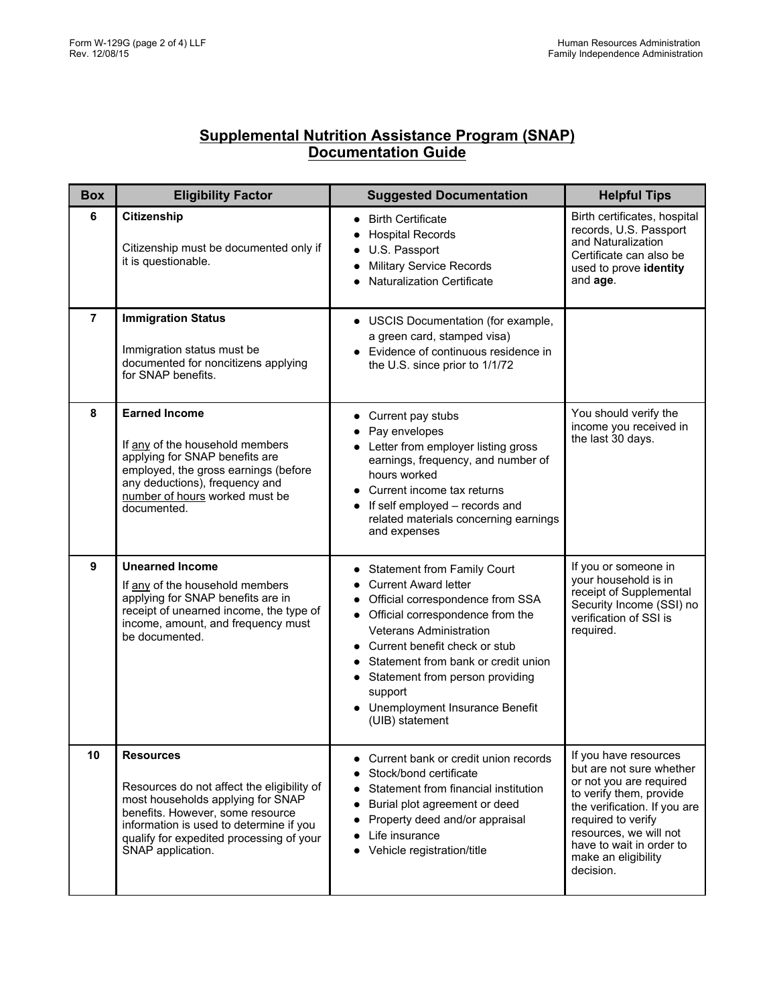| <b>Box</b>     | <b>Eligibility Factor</b>                                                                                                                                                                                                                           | <b>Suggested Documentation</b>                                                                                                                                                                                                                                                                                                                         | <b>Helpful Tips</b>                                                                                                                                                                                                                                     |
|----------------|-----------------------------------------------------------------------------------------------------------------------------------------------------------------------------------------------------------------------------------------------------|--------------------------------------------------------------------------------------------------------------------------------------------------------------------------------------------------------------------------------------------------------------------------------------------------------------------------------------------------------|---------------------------------------------------------------------------------------------------------------------------------------------------------------------------------------------------------------------------------------------------------|
| 6              | Citizenship<br>Citizenship must be documented only if<br>it is questionable.                                                                                                                                                                        | <b>Birth Certificate</b><br><b>Hospital Records</b><br>U.S. Passport<br><b>Military Service Records</b><br><b>Naturalization Certificate</b>                                                                                                                                                                                                           | Birth certificates, hospital<br>records, U.S. Passport<br>and Naturalization<br>Certificate can also be<br>used to prove identity<br>and age.                                                                                                           |
| $\overline{7}$ | <b>Immigration Status</b><br>Immigration status must be<br>documented for noncitizens applying<br>for SNAP benefits.                                                                                                                                | USCIS Documentation (for example,<br>a green card, stamped visa)<br>Evidence of continuous residence in<br>the U.S. since prior to 1/1/72                                                                                                                                                                                                              |                                                                                                                                                                                                                                                         |
| 8              | <b>Earned Income</b><br>If any of the household members<br>applying for SNAP benefits are<br>employed, the gross earnings (before<br>any deductions), frequency and<br>number of hours worked must be<br>documented.                                | Current pay stubs<br>Pay envelopes<br>Letter from employer listing gross<br>earnings, frequency, and number of<br>hours worked<br>Current income tax returns<br>If self employed - records and<br>related materials concerning earnings<br>and expenses                                                                                                | You should verify the<br>income you received in<br>the last 30 days.                                                                                                                                                                                    |
| 9              | <b>Unearned Income</b><br>If any of the household members<br>applying for SNAP benefits are in<br>receipt of unearned income, the type of<br>income, amount, and frequency must<br>be documented.                                                   | <b>Statement from Family Court</b><br><b>Current Award letter</b><br>Official correspondence from SSA<br>Official correspondence from the<br><b>Veterans Administration</b><br>Current benefit check or stub<br>Statement from bank or credit union<br>Statement from person providing<br>support<br>Unemployment Insurance Benefit<br>(UIB) statement | If you or someone in<br>your household is in<br>receipt of Supplemental<br>Security Income (SSI) no<br>verification of SSI is<br>required.                                                                                                              |
| 10             | <b>Resources</b><br>Resources do not affect the eligibility of<br>most households applying for SNAP<br>benefits. However, some resource<br>information is used to determine if you<br>qualify for expedited processing of your<br>SNAP application. | Current bank or credit union records<br>Stock/bond certificate<br>Statement from financial institution<br>Burial plot agreement or deed<br>Property deed and/or appraisal<br>Life insurance<br>Vehicle registration/title                                                                                                                              | If you have resources<br>but are not sure whether<br>or not you are required<br>to verify them, provide<br>the verification. If you are<br>required to verify<br>resources, we will not<br>have to wait in order to<br>make an eligibility<br>decision. |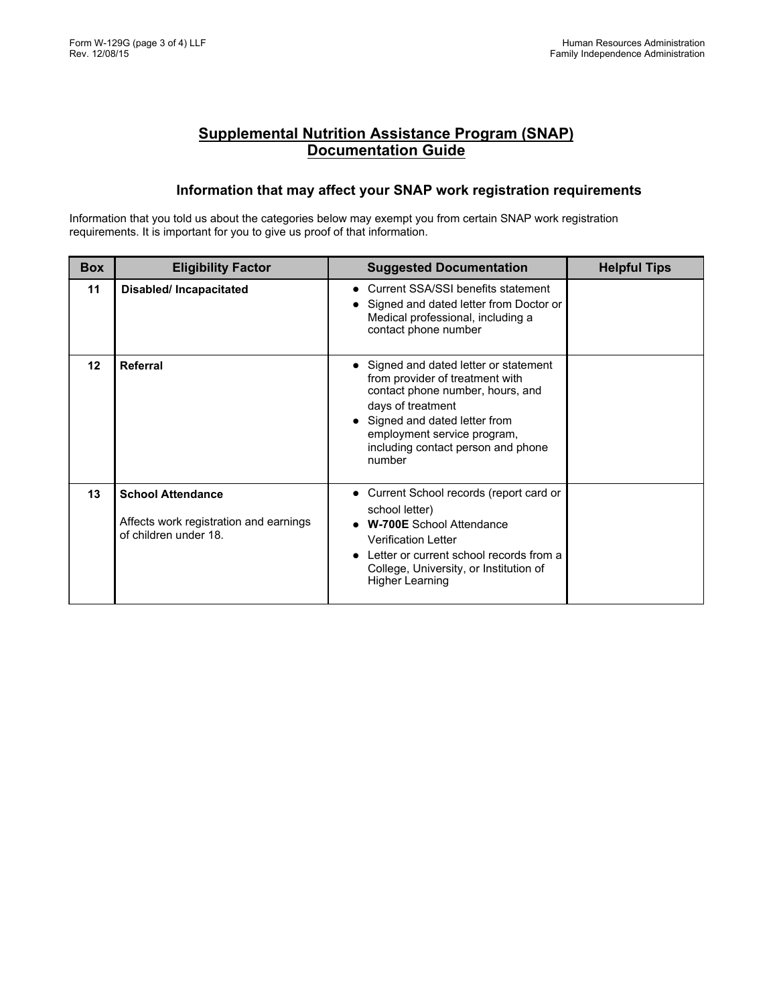#### **Information that may affect your SNAP work registration requirements**

Information that you told us about the categories below may exempt you from certain SNAP work registration requirements. It is important for you to give us proof of that information.

| <b>Box</b> | <b>Eligibility Factor</b>                                                                   | <b>Suggested Documentation</b>                                                                                                                                                                                                                  | <b>Helpful Tips</b> |
|------------|---------------------------------------------------------------------------------------------|-------------------------------------------------------------------------------------------------------------------------------------------------------------------------------------------------------------------------------------------------|---------------------|
| 11         | <b>Disabled/Incapacitated</b>                                                               | • Current SSA/SSI benefits statement<br>Signed and dated letter from Doctor or<br>Medical professional, including a<br>contact phone number                                                                                                     |                     |
| 12         | Referral                                                                                    | Signed and dated letter or statement<br>from provider of treatment with<br>contact phone number, hours, and<br>days of treatment<br>Signed and dated letter from<br>employment service program,<br>including contact person and phone<br>number |                     |
| 13         | <b>School Attendance</b><br>Affects work registration and earnings<br>of children under 18. | • Current School records (report card or<br>school letter)<br><b>W-700E</b> School Attendance<br><b>Verification Letter</b><br>Letter or current school records from a<br>College, University, or Institution of<br>Higher Learning             |                     |